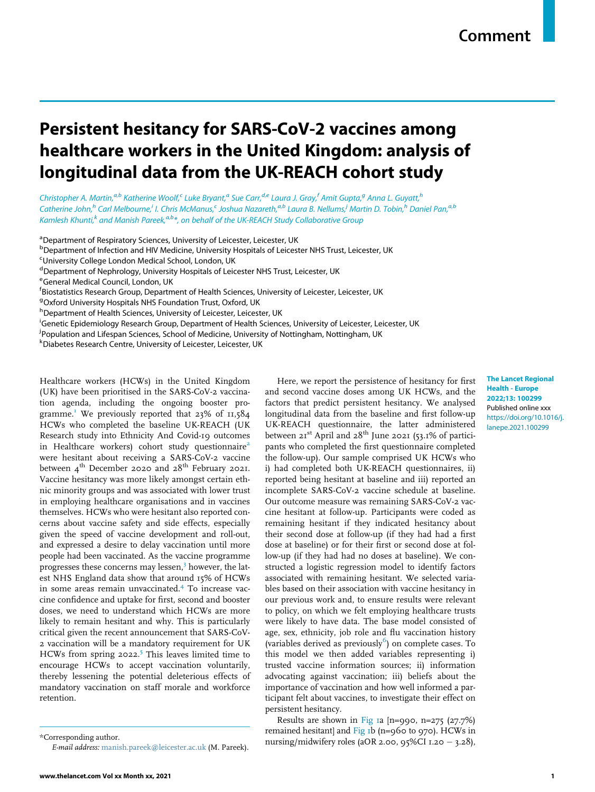# Persistent hesitancy for SARS-CoV-2 vaccines among healthcare workers in the United Kingdom: analysis of longitudinal data from the UK-REACH cohort study

Christopher A. M[a](#page-0-0)rtin,<sup>a[,b](#page-0-1)</sup> Katherine Woolf,<sup>[c](#page-0-2)</sup> Luke Bryant,<sup>a</sup> Sue Carr,<sup>[d](#page-0-3),[e](#page-0-4)</sup> Laura J. Gray,<sup>[f](#page-0-5)</sup> Amit Gupta,<sup>[g](#page-0-6)</sup> Anna L. Guyatt,<sup>[h](#page-0-7)</sup> Cat[h](#page-0-7)er[i](#page-0-8)ne John,<sup>h</sup> Carl Melbourne,<sup>i</sup> I. Chris M[c](#page-0-2)M[a](#page-0-0)nus,<sup>c</sup> Joshua Nazareth,<sup>a,[b](#page-0-1)</sup> Laura B. Nellums,<sup>i</sup> Martin D. Tobin,<sup>h</sup> Daniel Pan,<sup>a,b</sup> Kamlesh Khunti,<sup>[k](#page-0-10)</sup> [a](#page-0-0)nd Manish Pareek,<sup>a,[b](#page-0-1)</sup>[\\*](#page-0-11), on behalf of the UK-REACH Study Collaborative Group

<span id="page-0-0"></span><sup>a</sup>Department of Respiratory Sciences, University of Leicester, Leicester, UK

<span id="page-0-1"></span><sup>b</sup>Department of Infection and HIV Medicine, University Hospitals of Leicester NHS Trust, Leicester, UK

<span id="page-0-2"></span><sup>c</sup>University College London Medical School, London, UK

<span id="page-0-3"></span><sup>d</sup>Department of Nephrology, University Hospitals of Leicester NHS Trust, Leicester, UK

<span id="page-0-4"></span><sup>e</sup>General Medical Council, London, UK

<span id="page-0-5"></span><sup>f</sup>Biostatistics Research Group, Department of Health Sciences, University of Leicester, Leicester, UK

<span id="page-0-6"></span><sup>g</sup>Oxford University Hospitals NHS Foundation Trust, Oxford, UK

<span id="page-0-7"></span><sup>h</sup> Department of Health Sciences, University of Leicester, Leicester, UK

<span id="page-0-8"></span><sup>i</sup>Genetic Epidemiology Research Group, Department of Health Sciences, University of Leicester, Leicester, UK

<span id="page-0-9"></span>j Population and Lifespan Sciences, School of Medicine, University of Nottingham, Nottingham, UK

<span id="page-0-10"></span>k Diabetes Research Centre, University of Leicester, Leicester, UK

Healthcare workers (HCWs) in the United Kingdom (UK) have been prioritised in the SARS-CoV-2 vaccination agenda, including the ongoing booster pro-gramme.<sup>[1](#page-3-0)</sup> We previously reported that  $23\%$  of  $11,584$ HCWs who completed the baseline UK-REACH (UK Research study into Ethnicity And Covid-19 outcomes in Healthcare workers) cohort study questionnaire<sup>[2](#page-3-1)</sup> were hesitant about receiving a SARS-CoV-2 vaccine between  $4^{\text{th}}$  December 2020 and  $28^{\text{th}}$  February 2021. Vaccine hesitancy was more likely amongst certain ethnic minority groups and was associated with lower trust in employing healthcare organisations and in vaccines themselves. HCWs who were hesitant also reported concerns about vaccine safety and side effects, especially given the speed of vaccine development and roll-out, and expressed a desire to delay vaccination until more people had been vaccinated. As the vaccine programme progresses these concerns may lessen,<sup>[3](#page-3-2)</sup> however, the latest NHS England data show that around 15% of HCWs in some areas remain unvaccinated.[4](#page-3-3) To increase vaccine confidence and uptake for first, second and booster doses, we need to understand which HCWs are more likely to remain hesitant and why. This is particularly critical given the recent announcement that SARS-CoV-2 vaccination will be a mandatory requirement for UK HCWs from spring  $2022$ <sup>[5](#page-3-4)</sup> This leaves limited time to encourage HCWs to accept vaccination voluntarily, thereby lessening the potential deleterious effects of mandatory vaccination on staff morale and workforce retention.

Here, we report the persistence of hesitancy for first and second vaccine doses among UK HCWs, and the factors that predict persistent hesitancy. We analysed longitudinal data from the baseline and first follow-up UK-REACH questionnaire, the latter administered between  $21^{st}$  April and  $28^{th}$  June 2021 (53.1% of participants who completed the first questionnaire completed the follow-up). Our sample comprised UK HCWs who i) had completed both UK-REACH questionnaires, ii) reported being hesitant at baseline and iii) reported an incomplete SARS-CoV-2 vaccine schedule at baseline. Our outcome measure was remaining SARS-CoV-2 vaccine hesitant at follow-up. Participants were coded as remaining hesitant if they indicated hesitancy about their second dose at follow-up (if they had had a first dose at baseline) or for their first or second dose at follow-up (if they had had no doses at baseline). We constructed a logistic regression model to identify factors associated with remaining hesitant. We selected variables based on their association with vaccine hesitancy in our previous work and, to ensure results were relevant to policy, on which we felt employing healthcare trusts were likely to have data. The base model consisted of age, sex, ethnicity, job role and flu vaccination history (variables derived as previously $^{6}$  $^{6}$  $^{6}$ ) on complete cases. To this model we then added variables representing i) trusted vaccine information sources; ii) information advocating against vaccination; iii) beliefs about the importance of vaccination and how well informed a participant felt about vaccines, to investigate their effect on persistent hesitancy.

Results are shown in [Fig 1](#page-1-0)a  $[n=990, n=275 (27.7%)$ remained hesitant] and Fig  $Ib$  (n=960 to 970). HCWs in \*Corresponding author.<br>The mursing/midwifery roles (aOR 2.00, 95%CI 1.20 - 3.28),

The Lancet Regional Health - Europe 2022;13: 100299 Published online xxx [https://doi.org/10.1016/j.](https://doi.org/10.1016/j.lanepe.2021.100299) [lanepe.2021.100299](https://doi.org/10.1016/j.lanepe.2021.100299)

<span id="page-0-11"></span>

E-mail address: [manish.pareek@leicester.ac.uk](mailto:manish.pareek@leicester.ac.uk) (M. Pareek).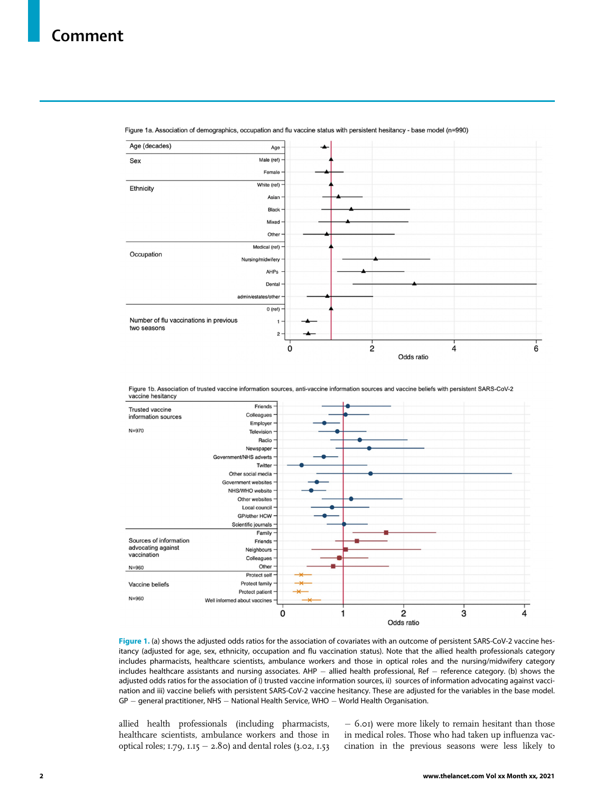# <span id="page-1-0"></span>Comment



Figure 1a. Association of demographics, occupation and flu vaccine status with persistent hesitancy - base model (n=990)

Figure 1b. Association of trusted vaccine information sources, anti-vaccine information sources and vaccine beliefs with persistent SARS-CoV-2 vaccine hesitancy



Figure 1. (a) shows the adjusted odds ratios for the association of covariates with an outcome of persistent SARS-CoV-2 vaccine hesitancy (adjusted for age, sex, ethnicity, occupation and flu vaccination status). Note that the allied health professionals category includes pharmacists, healthcare scientists, ambulance workers and those in optical roles and the nursing/midwifery category includes healthcare assistants and nursing associates. AHP  $-$  allied health professional, Ref  $-$  reference category. (b) shows the adjusted odds ratios for the association of i) trusted vaccine information sources, ii) sources of information advocating against vaccination and iii) vaccine beliefs with persistent SARS-CoV-2 vaccine hesitancy. These are adjusted for the variables in the base model.  $GP -$  general practitioner, NHS  $-$  National Health Service, WHO  $-$  World Health Organisation.

allied health professionals (including pharmacists, healthcare scientists, ambulance workers and those in optical roles;  $1.79$ ,  $1.15 - 2.80$ ) and dental roles (3.02,  $1.53$ 

 6.01) were more likely to remain hesitant than those in medical roles. Those who had taken up influenza vaccination in the previous seasons were less likely to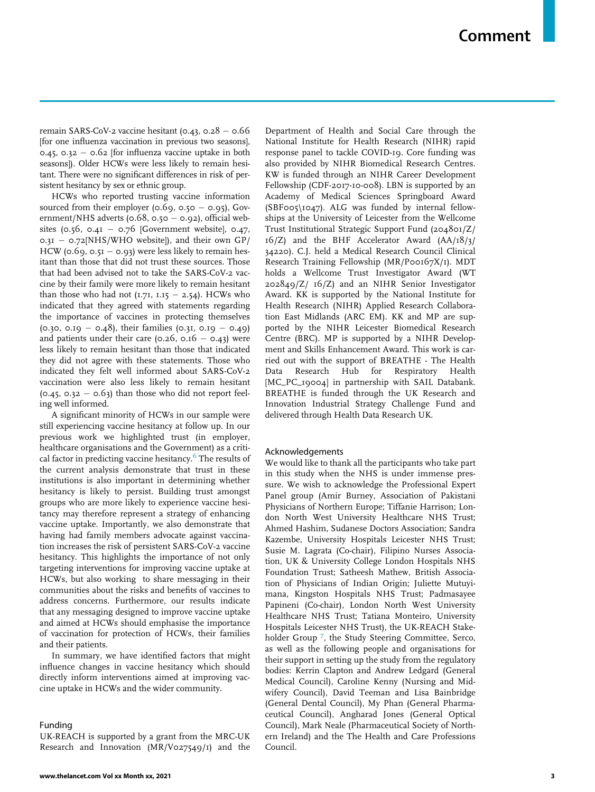remain SARS-CoV-2 vaccine hesitant (0.43, 0.28  $-$  0.66 [for one influenza vaccination in previous two seasons], 0.45, 0.32 - 0.62 [for influenza vaccine uptake in both seasons]). Older HCWs were less likely to remain hesitant. There were no significant differences in risk of persistent hesitancy by sex or ethnic group.

HCWs who reported trusting vaccine information sourced from their employer ( $0.69$ ,  $0.50 - 0.95$ ), Government/NHS adverts ( $0.68$ ,  $0.50 - 0.92$ ), official websites (0.56, 0.41 - 0.76 [Government website], 0.47,  $0.3I - 0.72[NHS/WHO$  website]), and their own GP/ HCW (0.69, 0.51  $-$  0.93) were less likely to remain hesitant than those that did not trust these sources. Those that had been advised not to take the SARS-CoV-2 vaccine by their family were more likely to remain hesitant than those who had not  $(1.71, 1.15 - 2.54)$ . HCWs who indicated that they agreed with statements regarding the importance of vaccines in protecting themselves  $(0.30, 0.19 - 0.48)$ , their families  $(0.31, 0.19 - 0.49)$ and patients under their care (0.26, 0.16  $-$  0.43) were less likely to remain hesitant than those that indicated they did not agree with these statements. Those who indicated they felt well informed about SARS-CoV-2 vaccination were also less likely to remain hesitant  $(0.45, 0.32 - 0.63)$  than those who did not report feeling well informed.

A significant minority of HCWs in our sample were still experiencing vaccine hesitancy at follow up. In our previous work we highlighted trust (in employer, healthcare organisations and the Government) as a criti-cal factor in predicting vaccine hesitancy.<sup>[6](#page-3-5)</sup> The results of the current analysis demonstrate that trust in these institutions is also important in determining whether hesitancy is likely to persist. Building trust amongst groups who are more likely to experience vaccine hesitancy may therefore represent a strategy of enhancing vaccine uptake. Importantly, we also demonstrate that having had family members advocate against vaccination increases the risk of persistent SARS-CoV-2 vaccine hesitancy. This highlights the importance of not only targeting interventions for improving vaccine uptake at HCWs, but also working to share messaging in their communities about the risks and benefits of vaccines to address concerns. Furthermore, our results indicate that any messaging designed to improve vaccine uptake and aimed at HCWs should emphasise the importance of vaccination for protection of HCWs, their families and their patients.

In summary, we have identified factors that might influence changes in vaccine hesitancy which should directly inform interventions aimed at improving vaccine uptake in HCWs and the wider community.

#### Funding

UK-REACH is supported by a grant from the MRC-UK Research and Innovation (MR/V027549/1) and the

Department of Health and Social Care through the National Institute for Health Research (NIHR) rapid response panel to tackle COVID-19. Core funding was also provided by NIHR Biomedical Research Centres. KW is funded through an NIHR Career Development Fellowship (CDF-2017-10-008). LBN is supported by an Academy of Medical Sciences Springboard Award (SBF005\1047). ALG was funded by internal fellowships at the University of Leicester from the Wellcome Trust Institutional Strategic Support Fund (204801/Z/ 16/Z) and the BHF Accelerator Award (AA/18/3/ 34220). C.J. held a Medical Research Council Clinical Research Training Fellowship (MR/P00167X/1). MDT holds a Wellcome Trust Investigator Award (WT 202849/Z/ 16/Z) and an NIHR Senior Investigator Award. KK is supported by the National Institute for Health Research (NIHR) Applied Research Collaboration East Midlands (ARC EM). KK and MP are supported by the NIHR Leicester Biomedical Research Centre (BRC). MP is supported by a NIHR Development and Skills Enhancement Award. This work is carried out with the support of BREATHE - The Health Data Research Hub for Respiratory Health [MC\_PC\_19004] in partnership with SAIL Databank. BREATHE is funded through the UK Research and Innovation Industrial Strategy Challenge Fund and delivered through Health Data Research UK.

## Acknowledgements

We would like to thank all the participants who take part in this study when the NHS is under immense pressure. We wish to acknowledge the Professional Expert Panel group (Amir Burney, Association of Pakistani Physicians of Northern Europe; Tiffanie Harrison; London North West University Healthcare NHS Trust; Ahmed Hashim, Sudanese Doctors Association; Sandra Kazembe, University Hospitals Leicester NHS Trust; Susie M. Lagrata (Co-chair), Filipino Nurses Association, UK & University College London Hospitals NHS Foundation Trust; Satheesh Mathew, British Association of Physicians of Indian Origin; Juliette Mutuyimana, Kingston Hospitals NHS Trust; Padmasayee Papineni (Co-chair), London North West University Healthcare NHS Trust; Tatiana Monteiro, University Hospitals Leicester NHS Trust), the UK-REACH Stake-holder Group<sup>[7](#page-3-6)</sup>, the Study Steering Committee, Serco, as well as the following people and organisations for their support in setting up the study from the regulatory bodies: Kerrin Clapton and Andrew Ledgard (General Medical Council), Caroline Kenny (Nursing and Midwifery Council), David Teeman and Lisa Bainbridge (General Dental Council), My Phan (General Pharmaceutical Council), Angharad Jones (General Optical Council), Mark Neale (Pharmaceutical Society of Northern Ireland) and the The Health and Care Professions Council.